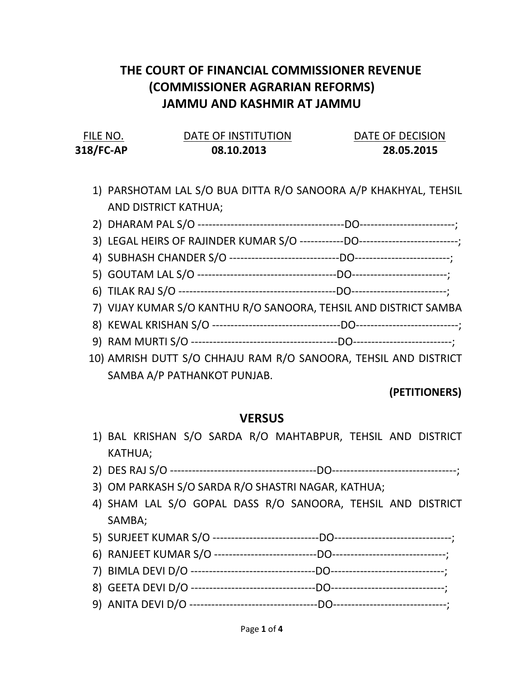## THE COURT OF FINANCIAL COMMISSIONER REVENUE (COMMISSIONER AGRARIAN REFORMS) JAMMU AND KASHMIR AT JAMMU

| FILE NO.  | DATE OF INSTITUTION | DATE OF DECISION |
|-----------|---------------------|------------------|
| 318/FC-AP | 08.10.2013          | 28.05.2015       |

- 1) PARSHOTAM LAL S/O BUA DITTA R/O SANOORA A/P KHAKHYAL, TEHSIL AND DISTRICT KATHUA;
- 2) DHARAM PAL S/O ----------------------------------------DO--------------------------;
- 3) LEGAL HEIRS OF RAJINDER KUMAR S/O ------------DO---------------------------;
- 4) SUBHASH CHANDER S/O ------------------------------DO--------------------------;
- 5) GOUTAM LAL S/O --------------------------------------DO--------------------------;
- 6) TILAK RAJ S/O -------------------------------------------DO--------------------------;
- 7) VIJAY KUMAR S/O KANTHU R/O SANOORA, TEHSIL AND DISTRICT SAMBA
- 8) KEWAL KRISHAN S/O -----------------------------------DO----------------------------;
- 9) RAM MURTI S/O ----------------------------------------DO---------------------------;
- 10) AMRISH DUTT S/O CHHAJU RAM R/O SANOORA, TEHSIL AND DISTRICT SAMBA A/P PATHANKOT PUNJAB.

## (PETITIONERS)

## **VERSUS**

- 1) BAL KRISHAN S/O SARDA R/O MAHTABPUR, TEHSIL AND DISTRICT KATHUA;
- 2) DES RAJ S/O ----------------------------------------DO----------------------------------;
- 3) OM PARKASH S/O SARDA R/O SHASTRI NAGAR, KATHUA;
- 4) SHAM LAL S/O GOPAL DASS R/O SANOORA, TEHSIL AND DISTRICT SAMBA;
- 5) SURJEET KUMAR S/O -----------------------------DO--------------------------------;
- 6) RANJEET KUMAR S/O ----------------------------DO-------------------------------;
- 7) BIMLA DEVI D/O ----------------------------------DO-------------------------------;
- 
- 8) GEETA DEVI D/O ----------------------------------DO-------------------------------;
- 9) ANITA DEVI D/O -----------------------------------DO-------------------------------;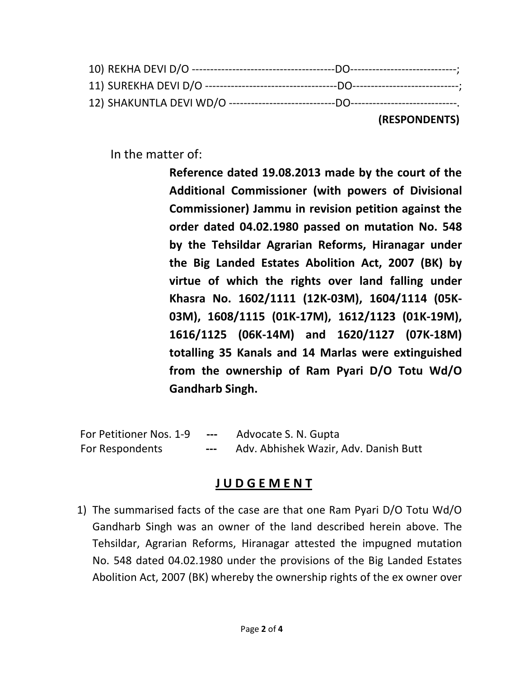|  | (RESPONDENTS) |
|--|---------------|

In the matter of:

Reference dated 19.08.2013 made by the court of the Additional Commissioner (with powers of Divisional Commissioner) Jammu in revision petition against the order dated 04.02.1980 passed on mutation No. 548 by the Tehsildar Agrarian Reforms, Hiranagar under the Big Landed Estates Abolition Act, 2007 (BK) by virtue of which the rights over land falling under Khasra No. 1602/1111 (12K-03M), 1604/1114 (05K-03M), 1608/1115 (01K-17M), 1612/1123 (01K-19M), 1616/1125 (06K-14M) and 1620/1127 (07K-18M) totalling 35 Kanals and 14 Marlas were extinguished from the ownership of Ram Pyari D/O Totu Wd/O Gandharb Singh.

For Petitioner Nos. 1-9 --- Advocate S. N. Gupta For Respondents --- Adv. Abhishek Wazir, Adv. Danish Butt

## J U D G E M E N T

1) The summarised facts of the case are that one Ram Pyari D/O Totu Wd/O Gandharb Singh was an owner of the land described herein above. The Tehsildar, Agrarian Reforms, Hiranagar attested the impugned mutation No. 548 dated 04.02.1980 under the provisions of the Big Landed Estates Abolition Act, 2007 (BK) whereby the ownership rights of the ex owner over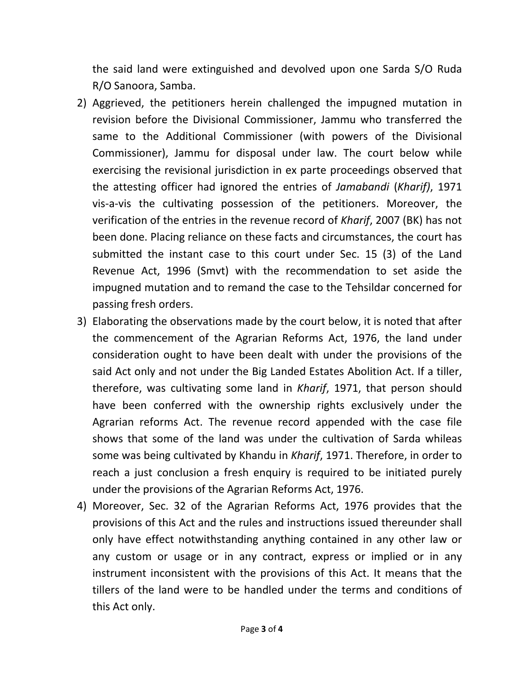the said land were extinguished and devolved upon one Sarda S/O Ruda R/O Sanoora, Samba.

- 2) Aggrieved, the petitioners herein challenged the impugned mutation in revision before the Divisional Commissioner, Jammu who transferred the same to the Additional Commissioner (with powers of the Divisional Commissioner), Jammu for disposal under law. The court below while exercising the revisional jurisdiction in ex parte proceedings observed that the attesting officer had ignored the entries of Jamabandi (Kharif), 1971 vis-a-vis the cultivating possession of the petitioners. Moreover, the verification of the entries in the revenue record of Kharif, 2007 (BK) has not been done. Placing reliance on these facts and circumstances, the court has submitted the instant case to this court under Sec. 15 (3) of the Land Revenue Act, 1996 (Smvt) with the recommendation to set aside the impugned mutation and to remand the case to the Tehsildar concerned for passing fresh orders.
- 3) Elaborating the observations made by the court below, it is noted that after the commencement of the Agrarian Reforms Act, 1976, the land under consideration ought to have been dealt with under the provisions of the said Act only and not under the Big Landed Estates Abolition Act. If a tiller, therefore, was cultivating some land in Kharif, 1971, that person should have been conferred with the ownership rights exclusively under the Agrarian reforms Act. The revenue record appended with the case file shows that some of the land was under the cultivation of Sarda whileas some was being cultivated by Khandu in Kharif, 1971. Therefore, in order to reach a just conclusion a fresh enquiry is required to be initiated purely under the provisions of the Agrarian Reforms Act, 1976.
- 4) Moreover, Sec. 32 of the Agrarian Reforms Act, 1976 provides that the provisions of this Act and the rules and instructions issued thereunder shall only have effect notwithstanding anything contained in any other law or any custom or usage or in any contract, express or implied or in any instrument inconsistent with the provisions of this Act. It means that the tillers of the land were to be handled under the terms and conditions of this Act only.